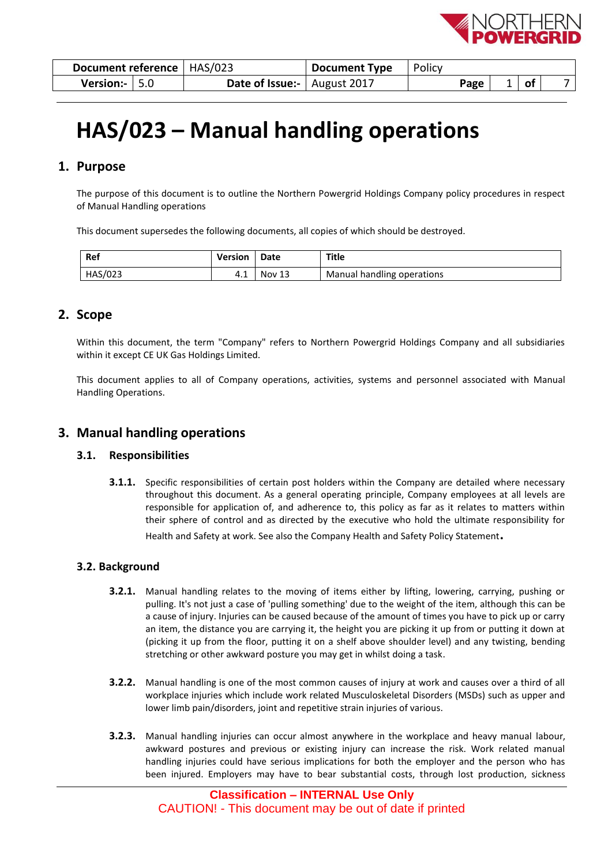

| <b>Document reference   HAS/023</b> | <b>Document Type</b>                | ∣ Policy |     |  |
|-------------------------------------|-------------------------------------|----------|-----|--|
| Version:- $  5.0$                   | <b>Date of Issue:</b>   August 2017 | Page     | _of |  |

# **HAS/023 – Manual handling operations**

# **1. Purpose**

The purpose of this document is to outline the Northern Powergrid Holdings Company policy procedures in respect of Manual Handling operations

This document supersedes the following documents, all copies of which should be destroyed.

| Ref     | Version | <b>Date</b> | Title                                  |
|---------|---------|-------------|----------------------------------------|
| HAS/023 | 4. 1    | Nov         | $\cdots$<br>Manual handling operations |

# **2. Scope**

Within this document, the term "Company" refers to Northern Powergrid Holdings Company and all subsidiaries within it except CE UK Gas Holdings Limited.

This document applies to all of Company operations, activities, systems and personnel associated with Manual Handling Operations.

# **3. Manual handling operations**

## **3.1. Responsibilities**

**3.1.1.** Specific responsibilities of certain post holders within the Company are detailed where necessary throughout this document. As a general operating principle, Company employees at all levels are responsible for application of, and adherence to, this policy as far as it relates to matters within their sphere of control and as directed by the executive who hold the ultimate responsibility for

Health and Safety at work. See also the Company Health and Safety Policy Statement**.**

## **3.2. Background**

- **3.2.1.** Manual handling relates to the moving of items either by lifting, lowering, carrying, pushing or pulling. It's not just a case of 'pulling something' due to the weight of the item, although this can be a cause of injury. Injuries can be caused because of the amount of times you have to pick up or carry an item, the distance you are carrying it, the height you are picking it up from or putting it down at (picking it up from the floor, putting it on a shelf above shoulder level) and any twisting, bending stretching or other awkward posture you may get in whilst doing a task.
- **3.2.2.** Manual handling is one of the most common causes of injury at work and causes over a third of all workplace injuries which include work related Musculoskeletal Disorders (MSDs) such as upper and lower limb pain/disorders, joint and repetitive strain injuries of various.
- **3.2.3.** Manual handling injuries can occur almost anywhere in the workplace and heavy manual labour, awkward postures and previous or existing injury can increase the risk. Work related manual handling injuries could have serious implications for both the employer and the person who has been injured. Employers may have to bear substantial costs, through lost production, sickness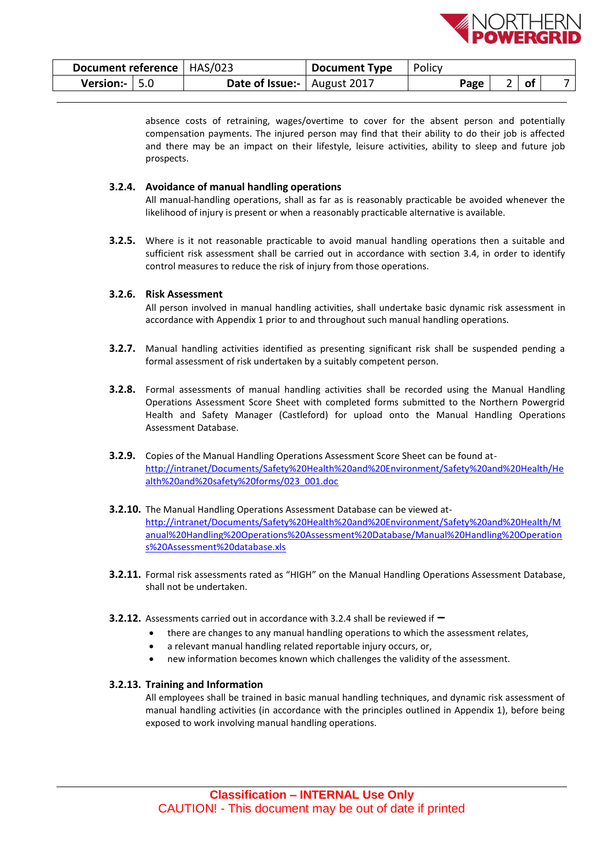

| Document reference   HAS/023 |                                     | <b>Document Type</b> | Policy |      |      |               |
|------------------------------|-------------------------------------|----------------------|--------|------|------|---------------|
| <b>Version:-</b> $\vert$ 5.0 | <b>Date of Issue:</b>   August 2017 |                      |        | Page | ∣ of | $\rightarrow$ |

absence costs of retraining, wages/overtime to cover for the absent person and potentially compensation payments. The injured person may find that their ability to do their job is affected and there may be an impact on their lifestyle, leisure activities, ability to sleep and future job prospects.

## **3.2.4. Avoidance of manual handling operations**

All manual-handling operations, shall as far as is reasonably practicable be avoided whenever the likelihood of injury is present or when a reasonably practicable alternative is available.

**3.2.5.** Where is it not reasonable practicable to avoid manual handling operations then a suitable and sufficient risk assessment shall be carried out in accordance with section 3.4, in order to identify control measures to reduce the risk of injury from those operations.

## **3.2.6. Risk Assessment**

All person involved in manual handling activities, shall undertake basic dynamic risk assessment in accordance with Appendix 1 prior to and throughout such manual handling operations.

- **3.2.7.** Manual handling activities identified as presenting significant risk shall be suspended pending a formal assessment of risk undertaken by a suitably competent person.
- **3.2.8.** Formal assessments of manual handling activities shall be recorded using the Manual Handling Operations Assessment Score Sheet with completed forms submitted to the Northern Powergrid Health and Safety Manager (Castleford) for upload onto the Manual Handling Operations Assessment Database.
- **3.2.9.** Copies of the Manual Handling Operations Assessment Score Sheet can be found at[http://intranet/Documents/Safety%20Health%20and%20Environment/Safety%20and%20Health/He](http://intranet/Documents/Safety%20Health%20and%20Environment/Safety%20and%20Health/Health%20and%20safety%20forms/023_001.doc) [alth%20and%20safety%20forms/023\\_001.doc](http://intranet/Documents/Safety%20Health%20and%20Environment/Safety%20and%20Health/Health%20and%20safety%20forms/023_001.doc)
- **3.2.10.** The Manual Handling Operations Assessment Database can be viewed at[http://intranet/Documents/Safety%20Health%20and%20Environment/Safety%20and%20Health/M](http://intranet/Documents/Safety%20Health%20and%20Environment/Safety%20and%20Health/Manual%20Handling%20Operations%20Assessment%20Database/Manual%20Handling%20Operations%20Assessment%20database.xls) [anual%20Handling%20Operations%20Assessment%20Database/Manual%20Handling%20Operation](http://intranet/Documents/Safety%20Health%20and%20Environment/Safety%20and%20Health/Manual%20Handling%20Operations%20Assessment%20Database/Manual%20Handling%20Operations%20Assessment%20database.xls) [s%20Assessment%20database.xls](http://intranet/Documents/Safety%20Health%20and%20Environment/Safety%20and%20Health/Manual%20Handling%20Operations%20Assessment%20Database/Manual%20Handling%20Operations%20Assessment%20database.xls)
- **3.2.11.** Formal risk assessments rated as "HIGH" on the Manual Handling Operations Assessment Database, shall not be undertaken.
- **3.2.12.** Assessments carried out in accordance with 3.2.4 shall be reviewed if **–**
	- there are changes to any manual handling operations to which the assessment relates,
	- a relevant manual handling related reportable injury occurs, or,
	- new information becomes known which challenges the validity of the assessment.

#### **3.2.13. Training and Information**

All employees shall be trained in basic manual handling techniques, and dynamic risk assessment of manual handling activities (in accordance with the principles outlined in Appendix 1), before being exposed to work involving manual handling operations.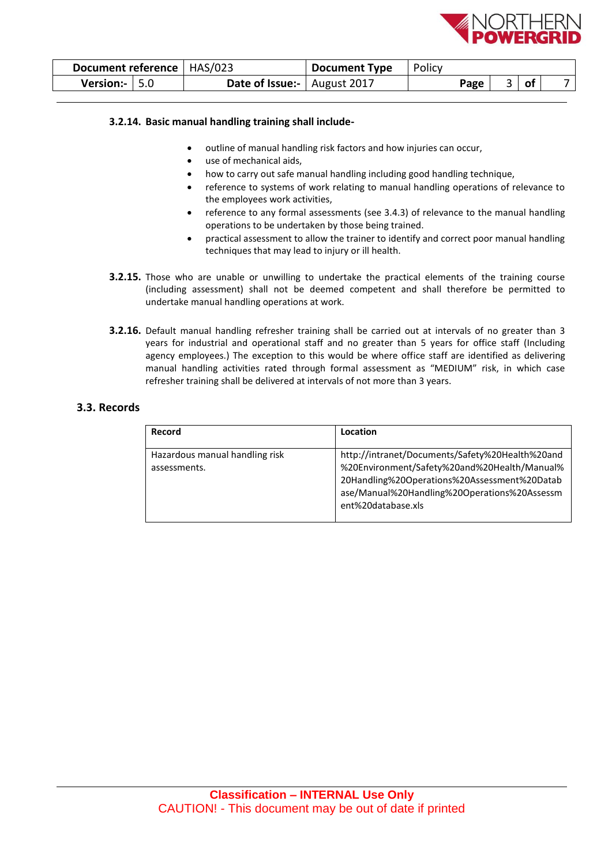

| Document reference   HAS/023 |                                      | <b>Document Type</b> | Policy |      |    |  |
|------------------------------|--------------------------------------|----------------------|--------|------|----|--|
| Version:- $  5.0$            | <b>Date of Issue:-</b>   August 2017 |                      |        | Page | of |  |

## **3.2.14. Basic manual handling training shall include-**

- outline of manual handling risk factors and how injuries can occur,
- use of mechanical aids,
- how to carry out safe manual handling including good handling technique,
- reference to systems of work relating to manual handling operations of relevance to the employees work activities,
- reference to any formal assessments (see 3.4.3) of relevance to the manual handling operations to be undertaken by those being trained.
- practical assessment to allow the trainer to identify and correct poor manual handling techniques that may lead to injury or ill health.
- **3.2.15.** Those who are unable or unwilling to undertake the practical elements of the training course (including assessment) shall not be deemed competent and shall therefore be permitted to undertake manual handling operations at work.
- **3.2.16.** Default manual handling refresher training shall be carried out at intervals of no greater than 3 years for industrial and operational staff and no greater than 5 years for office staff (Including agency employees.) The exception to this would be where office staff are identified as delivering manual handling activities rated through formal assessment as "MEDIUM" risk, in which case refresher training shall be delivered at intervals of not more than 3 years.

## **3.3. Records**

| Record                                         | Location                                                                                                                                                                                                              |
|------------------------------------------------|-----------------------------------------------------------------------------------------------------------------------------------------------------------------------------------------------------------------------|
| Hazardous manual handling risk<br>assessments. | http://intranet/Documents/Safety%20Health%20and<br>%20Environment/Safety%20and%20Health/Manual%<br>20Handling%20Operations%20Assessment%20Datab<br>ase/Manual%20Handling%20Operations%20Assessm<br>ent%20database.xls |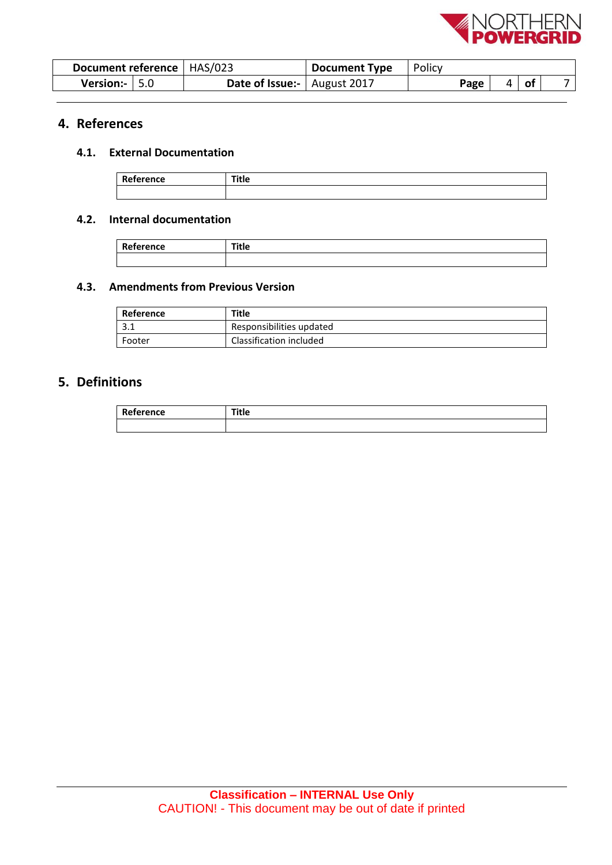

| Document reference   HAS/023 |                               | <b>Document Type</b> | Policy |      |   |     |  |
|------------------------------|-------------------------------|----------------------|--------|------|---|-----|--|
| <b>Version:-</b> $\vert$ 5.0 | Date of Issue:-   August 2017 |                      |        | Page | 4 | .ot |  |

# **4. References**

# **4.1. External Documentation**

| --<br>.<br>ence<br> | $-1$<br><br>. |
|---------------------|---------------|
|                     |               |

## **4.2. Internal documentation**

|           | --  |
|-----------|-----|
|           |     |
| Reference | nue |
|           |     |

# **4.3. Amendments from Previous Version**

| Reference | Title                    |
|-----------|--------------------------|
| 3.1       | Responsibilities updated |
| Footer    | Classification included  |

# **5. Definitions**

| 165 | - -<br>z.<br> |
|-----|---------------|
|     |               |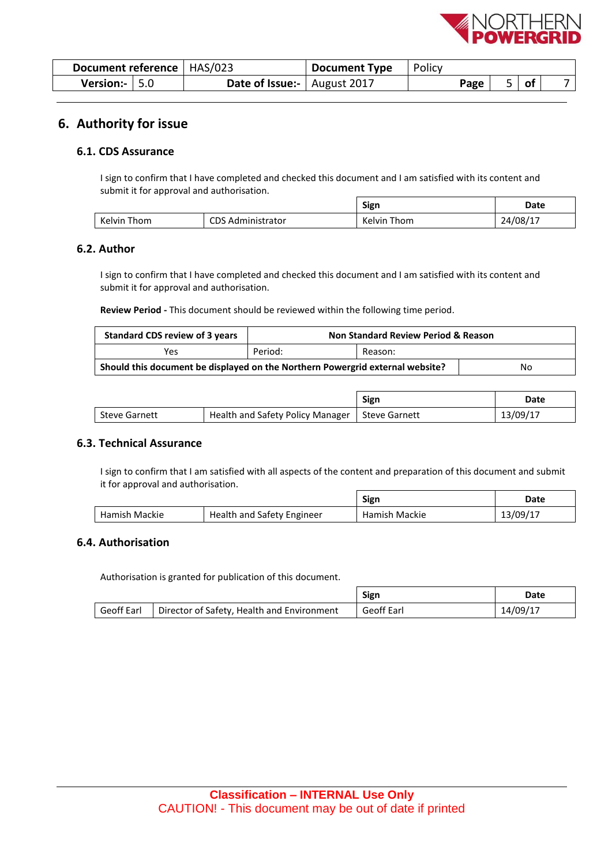

ł,

 $\overline{\phantom{0}}$ 

| Document reference   HAS/023 |                                     | Document Type | Policy |      |        |  |
|------------------------------|-------------------------------------|---------------|--------|------|--------|--|
| Version:- $  5.0$            | <b>Date of Issue:</b>   August 2017 |               |        | Page | $ $ of |  |

# **6. Authority for issue**

## **6.1. CDS Assurance**

I sign to confirm that I have completed and checked this document and I am satisfied with its content and submit it for approval and authorisation.

|         |                     | Sign   | Date           |
|---------|---------------------|--------|----------------|
| Kelvin  | CDS                 | Thom   | $24/08/\ldots$ |
| Thom    | <b>dministrator</b> | Kelvin |                |
| _______ | Adr                 |        |                |

## **6.2. Author**

I sign to confirm that I have completed and checked this document and I am satisfied with its content and submit it for approval and authorisation.

**Review Period -** This document should be reviewed within the following time period.

| Standard CDS review of 3 years                                                | <b>Non Standard Review Period &amp; Reason</b> |  |  |  |
|-------------------------------------------------------------------------------|------------------------------------------------|--|--|--|
| Yes                                                                           | Period:<br>Reason:                             |  |  |  |
| Should this document be displayed on the Northern Powergrid external website? | No                                             |  |  |  |

|                      |                                  | Sign                 | Date     |
|----------------------|----------------------------------|----------------------|----------|
| <b>Steve Garnett</b> | Health and Safety Policy Manager | <b>Steve Garnett</b> | 13/09/17 |

## **6.3. Technical Assurance**

I sign to confirm that I am satisfied with all aspects of the content and preparation of this document and submit it for approval and authorisation.  $\Gamma$ 

|               |                            | Sign          | Date     |
|---------------|----------------------------|---------------|----------|
| Hamish Mackie | Health and Safety Engineer | Hamish Mackie | 13/09/17 |

## **6.4. Authorisation**

Authorisation is granted for publication of this document.

|            |                                              | Sign       | Date     |
|------------|----------------------------------------------|------------|----------|
| Geoff Earl | I Director of Safety, Health and Environment | Geoff Earl | 14/09/17 |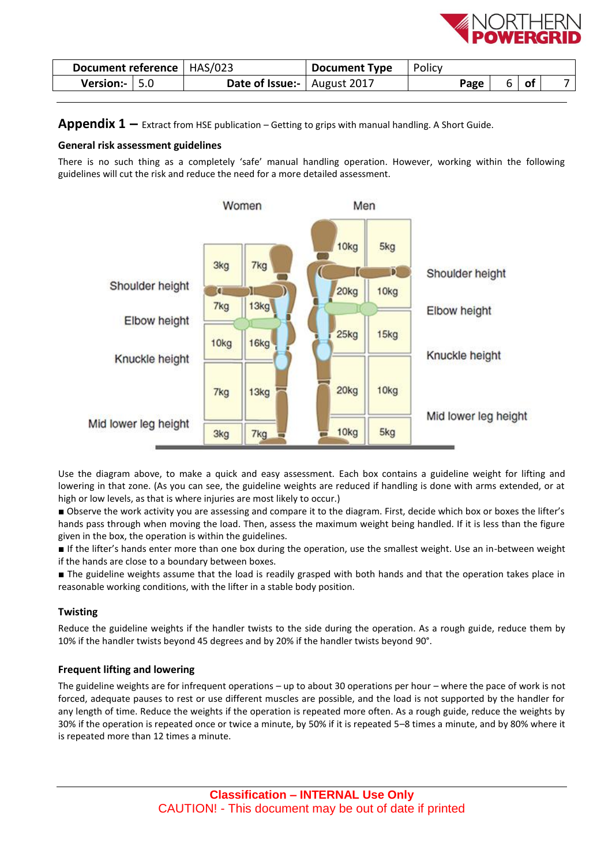

| Document reference   HAS/023 | <b>Document Type</b>   Policy        |      |    |    |  |
|------------------------------|--------------------------------------|------|----|----|--|
| <b>Version:-</b> $\vert$ 5.0 | <b>Date of Issue:-</b>   August 2017 | Page | b. | of |  |

**Appendix 1 –** Extract from HSE publication – Getting to grips with manual handling. A Short Guide.

## **General risk assessment guidelines**

There is no such thing as a completely 'safe' manual handling operation. However, working within the following guidelines will cut the risk and reduce the need for a more detailed assessment.



Use the diagram above, to make a quick and easy assessment. Each box contains a guideline weight for lifting and lowering in that zone. (As you can see, the guideline weights are reduced if handling is done with arms extended, or at high or low levels, as that is where injuries are most likely to occur.)

■ Observe the work activity you are assessing and compare it to the diagram. First, decide which box or boxes the lifter's hands pass through when moving the load. Then, assess the maximum weight being handled. If it is less than the figure given in the box, the operation is within the guidelines.

■ If the lifter's hands enter more than one box during the operation, use the smallest weight. Use an in-between weight if the hands are close to a boundary between boxes.

■ The guideline weights assume that the load is readily grasped with both hands and that the operation takes place in reasonable working conditions, with the lifter in a stable body position.

## **Twisting**

Reduce the guideline weights if the handler twists to the side during the operation. As a rough guide, reduce them by 10% if the handler twists beyond 45 degrees and by 20% if the handler twists beyond 90°.

## **Frequent lifting and lowering**

The guideline weights are for infrequent operations – up to about 30 operations per hour – where the pace of work is not forced, adequate pauses to rest or use different muscles are possible, and the load is not supported by the handler for any length of time. Reduce the weights if the operation is repeated more often. As a rough guide, reduce the weights by 30% if the operation is repeated once or twice a minute, by 50% if it is repeated 5–8 times a minute, and by 80% where it is repeated more than 12 times a minute.